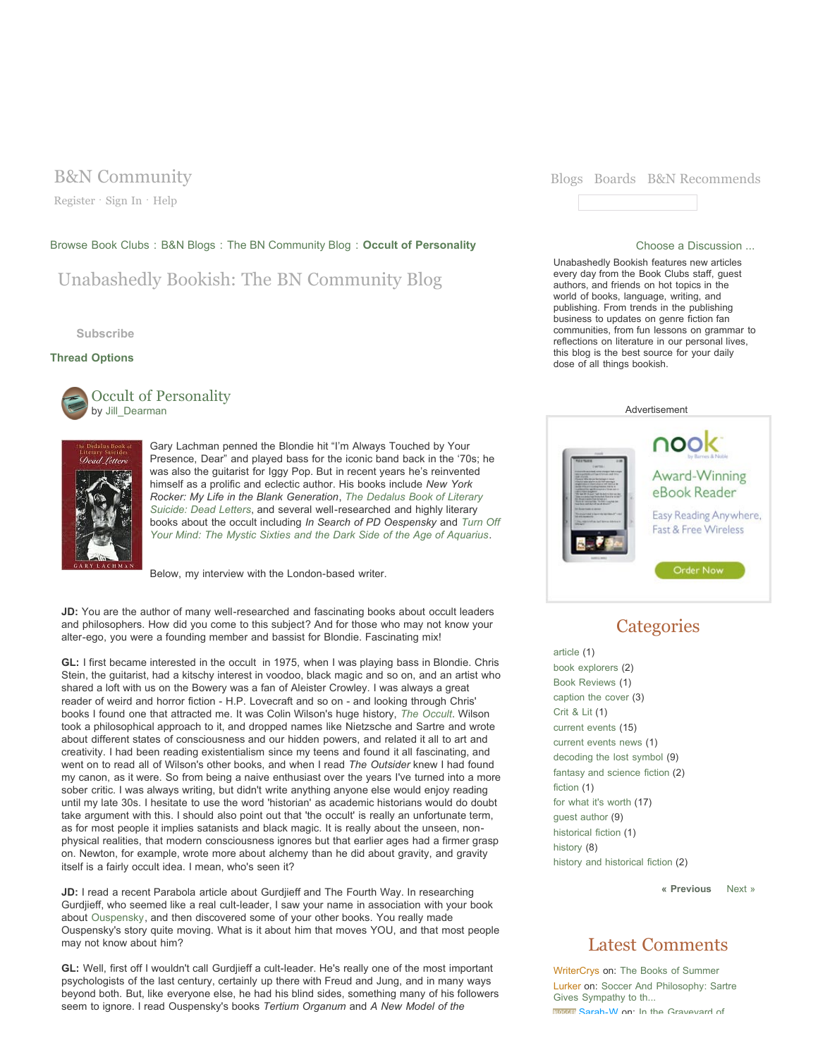Register · Sign In · Help

### Browse Book Clubs : B&N Blogs : The BN Community Blog : **Occult of Personality** Choose a Discussion ...

Unabashedly Bookish: The BN Community Blog

**Subscribe**

## **Thread Options**



Occult of Personality by Jill\_Dearman



Gary Lachman penned the Blondie hit "I'm Always Touched by Your Presence, Dear" and played bass for the iconic band back in the '70s; he was also the guitarist for Iggy Pop. But in recent years he's reinvented himself as a prolific and eclectic author. His books include *New York Rocker: My Life in the Blank Generation*, *The Dedalus Book of Literary Suicide: Dead Letters*, and several well-researched and highly literary books about the occult including *In Search of PD Oespensky* and *Turn Off Your Mind: The Mystic Sixties and the Dark Side of the Age of Aquarius*.

Below, my interview with the London-based writer.

**JD:** You are the author of many well-researched and fascinating books about occult leaders and philosophers. How did you come to this subject? And for those who may not know your alter-ego, you were a founding member and bassist for Blondie. Fascinating mix!

**GL:** I first became interested in the occult in 1975, when I was playing bass in Blondie. Chris Stein, the guitarist, had a kitschy interest in voodoo, black magic and so on, and an artist who shared a loft with us on the Bowery was a fan of Aleister Crowley. I was always a great reader of weird and horror fiction - H.P. Lovecraft and so on - and looking through Chris' books I found one that attracted me. It was Colin Wilson's huge history, *The Occult*. Wilson took a philosophical approach to it, and dropped names like Nietzsche and Sartre and wrote about different states of consciousness and our hidden powers, and related it all to art and creativity. I had been reading existentialism since my teens and found it all fascinating, and went on to read all of Wilson's other books, and when I read *The Outsider* knew I had found my canon, as it were. So from being a naive enthusiast over the years I've turned into a more sober critic. I was always writing, but didn't write anything anyone else would enjoy reading until my late 30s. I hesitate to use the word 'historian' as academic historians would do doubt take argument with this. I should also point out that 'the occult' is really an unfortunate term, as for most people it implies satanists and black magic. It is really about the unseen, nonphysical realities, that modern consciousness ignores but that earlier ages had a firmer grasp on. Newton, for example, wrote more about alchemy than he did about gravity, and gravity itself is a fairly occult idea. I mean, who's seen it?

**JD:** I read a recent Parabola article about Gurdjieff and The Fourth Way. In researching Gurdjieff, who seemed like a real cult-leader, I saw your name in association with your book about Ouspensky, and then discovered some of your other books. You really made Ouspensky's story quite moving. What is it about him that moves YOU, and that most people may not know about him?

**GL:** Well, first off I wouldn't call Gurdjieff a cult-leader. He's really one of the most important psychologists of the last century, certainly up there with Freud and Jung, and in many ways beyond both. But, like everyone else, he had his blind sides, something many of his followers seem to ignore. I read Ouspensky's books *Tertium Organum* and *A New Model of the*



Unabashedly Bookish features new articles every day from the Book Clubs staff, guest authors, and friends on hot topics in the world of books, language, writing, and publishing. From trends in the publishing business to updates on genre fiction fan communities, from fun lessons on grammar to reflections on literature in our personal lives, this blog is the best source for your daily dose of all things bookish.



# **Categories**

article (1) book explorers (2) Book Reviews (1) caption the cover (3) Crit & Lit (1) current events (15) current events news (1) decoding the lost symbol (9) fantasy and science fiction (2) fiction (1) for what it's worth (17) guest author (9) historical fiction (1) history (8) history and historical fiction (2)

**« Previous** Next »

## Latest Comments

WriterCrys on: The Books of Summer Lurker on: Soccer And Philosophy: Sartre Gives Sympathy to th... **BROOKE Sarah-W on:** In the Graveyard of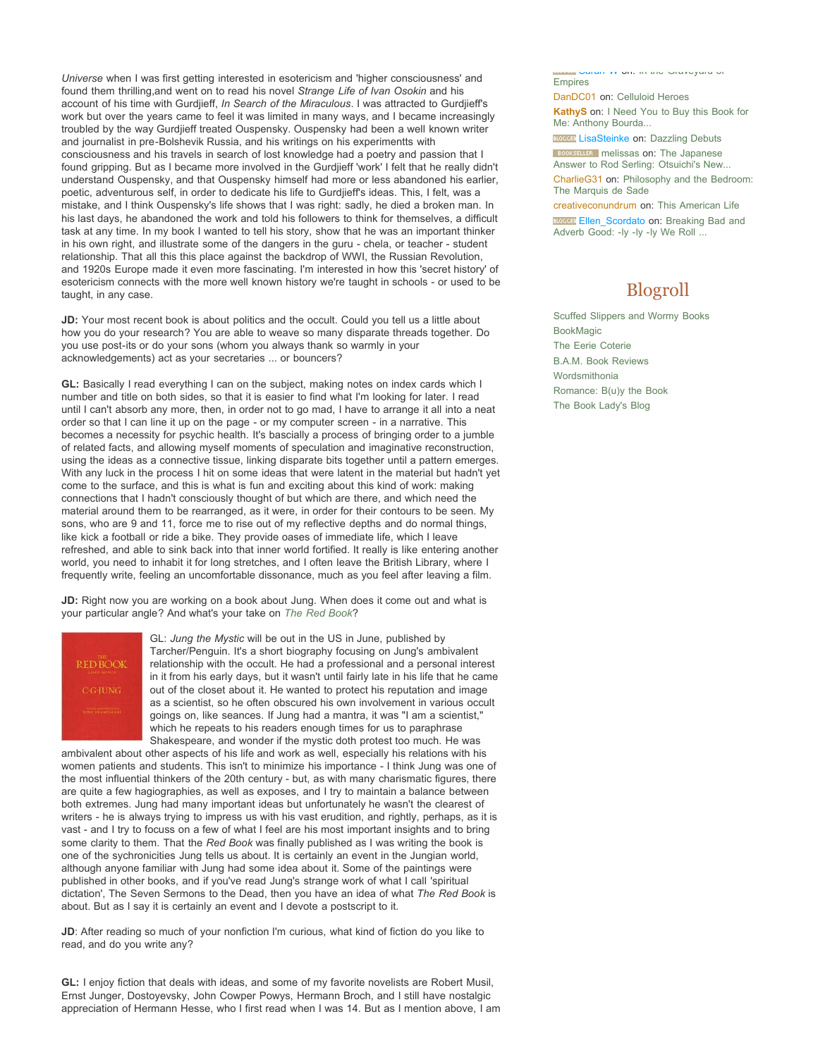*Universe* when I was first getting interested in esotericism and 'higher consciousness' and found them thrilling,and went on to read his novel *Strange Life of Ivan Osokin* and his account of his time with Gurdjieff, *In Search of the Miraculous*. I was attracted to Gurdjieff's work but over the years came to feel it was limited in many ways, and I became increasingly troubled by the way Gurdjieff treated Ouspensky. Ouspensky had been a well known writer and journalist in pre-Bolshevik Russia, and his writings on his experimentts with consciousness and his travels in search of lost knowledge had a poetry and passion that I found gripping. But as I became more involved in the Gurdjieff 'work' I felt that he really didn't understand Ouspensky, and that Ouspensky himself had more or less abandoned his earlier, poetic, adventurous self, in order to dedicate his life to Gurdjieff's ideas. This, I felt, was a mistake, and I think Ouspensky's life shows that I was right: sadly, he died a broken man. In his last days, he abandoned the work and told his followers to think for themselves, a difficult task at any time. In my book I wanted to tell his story, show that he was an important thinker in his own right, and illustrate some of the dangers in the guru - chela, or teacher - student relationship. That all this this place against the backdrop of WWI, the Russian Revolution, and 1920s Europe made it even more fascinating. I'm interested in how this 'secret history' of esotericism connects with the more well known history we're taught in schools - or used to be taught, in any case.

**JD:** Your most recent book is about politics and the occult. Could you tell us a little about how you do your research? You are able to weave so many disparate threads together. Do you use post-its or do your sons (whom you always thank so warmly in your acknowledgements) act as your secretaries ... or bouncers?

**GL:** Basically I read everything I can on the subject, making notes on index cards which I number and title on both sides, so that it is easier to find what I'm looking for later. I read until I can't absorb any more, then, in order not to go mad, I have to arrange it all into a neat order so that I can line it up on the page - or my computer screen - in a narrative. This becomes a necessity for psychic health. It's bascially a process of bringing order to a jumble of related facts, and allowing myself moments of speculation and imaginative reconstruction, using the ideas as a connective tissue, linking disparate bits together until a pattern emerges. With any luck in the process I hit on some ideas that were latent in the material but hadn't yet come to the surface, and this is what is fun and exciting about this kind of work: making connections that I hadn't consciously thought of but which are there, and which need the material around them to be rearranged, as it were, in order for their contours to be seen. My sons, who are 9 and 11, force me to rise out of my reflective depths and do normal things, like kick a football or ride a bike. They provide oases of immediate life, which I leave refreshed, and able to sink back into that inner world fortified. It really is like entering another world, you need to inhabit it for long stretches, and I often leave the British Library, where I frequently write, feeling an uncomfortable dissonance, much as you feel after leaving a film.

**JD:** Right now you are working on a book about Jung. When does it come out and what is your particular angle? And what's your take on *The Red Book*?



GL: *Jung the Mystic* will be out in the US in June, published by Tarcher/Penguin. It's a short biography focusing on Jung's ambivalent relationship with the occult. He had a professional and a personal interest in it from his early days, but it wasn't until fairly late in his life that he came out of the closet about it. He wanted to protect his reputation and image as a scientist, so he often obscured his own involvement in various occult goings on, like seances. If Jung had a mantra, it was "I am a scientist," which he repeats to his readers enough times for us to paraphrase Shakespeare, and wonder if the mystic doth protest too much. He was

ambivalent about other aspects of his life and work as well, especially his relations with his women patients and students. This isn't to minimize his importance - I think Jung was one of the most influential thinkers of the 20th century - but, as with many charismatic figures, there are quite a few hagiographies, as well as exposes, and I try to maintain a balance between both extremes. Jung had many important ideas but unfortunately he wasn't the clearest of writers - he is always trying to impress us with his vast erudition, and rightly, perhaps, as it is vast - and I try to focuss on a few of what I feel are his most important insights and to bring some clarity to them. That the *Red Book* was finally published as I was writing the book is one of the sychronicities Jung tells us about. It is certainly an event in the Jungian world, although anyone familiar with Jung had some idea about it. Some of the paintings were published in other books, and if you've read Jung's strange work of what I call 'spiritual dictation', The Seven Sermons to the Dead, then you have an idea of what *The Red Book* is about. But as I say it is certainly an event and I devote a postscript to it.

JD: After reading so much of your nonfiction I'm curious, what kind of fiction do you like to read, and do you write any?

**GL:** I enjoy fiction that deals with ideas, and some of my favorite novelists are Robert Musil, Ernst Junger, Dostoyevsky, John Cowper Powys, Hermann Broch, and I still have nostalgic appreciation of Hermann Hesse, who I first read when I was 14. But as I mention above, I am

Sarah-W on: In the Graveyard of Empires

DanDC01 on: Celluloid Heroes

**KathyS** on: I Need You to Buy this Book for Me: Anthony Bourda...

**BLOCCER** LisaSteinke on: Dazzling Debuts

**BOOKSELLER** melissas on: The Japanese Answer to Rod Serling: Otsuichi's New...

CharlieG31 on: Philosophy and the Bedroom: The Marquis de Sade

creativeconundrum on: This American Life

**BLOCGER** Ellen\_Scordato on: Breaking Bad and Adverb Good: -ly -ly -ly We Roll ...

# Blogroll

Scuffed Slippers and Wormy Books BookMagic The Eerie Coterie B.A.M. Book Reviews Wordsmithonia Romance: B(u)y the Book The Book Lady's Blog